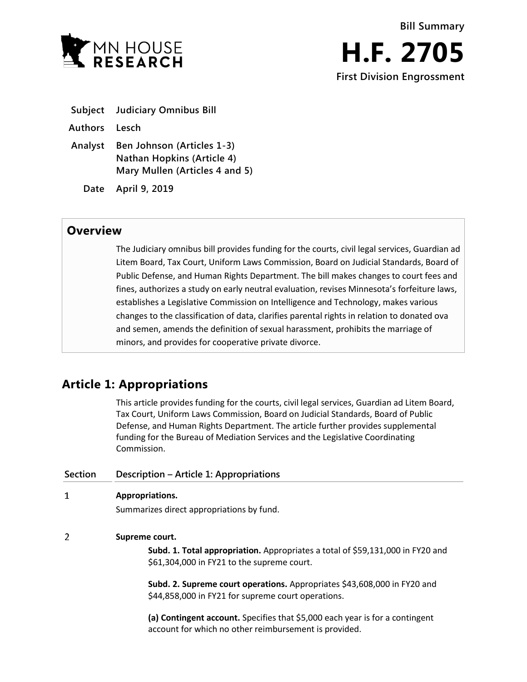

|               | <b>Subject</b> Judiciary Omnibus Bill |
|---------------|---------------------------------------|
| Authors Lesch |                                       |
|               | Analyst Ben Johnson (Articles 1-3)    |

**Nathan Hopkins (Article 4) Mary Mullen (Articles 4 and 5)**

**Date April 9, 2019**

## **Overview**

The Judiciary omnibus bill provides funding for the courts, civil legal services, Guardian ad Litem Board, Tax Court, Uniform Laws Commission, Board on Judicial Standards, Board of Public Defense, and Human Rights Department. The bill makes changes to court fees and fines, authorizes a study on early neutral evaluation, revises Minnesota's forfeiture laws, establishes a Legislative Commission on Intelligence and Technology, makes various changes to the classification of data, clarifies parental rights in relation to donated ova and semen, amends the definition of sexual harassment, prohibits the marriage of minors, and provides for cooperative private divorce.

# **Article 1: Appropriations**

This article provides funding for the courts, civil legal services, Guardian ad Litem Board, Tax Court, Uniform Laws Commission, Board on Judicial Standards, Board of Public

|                | Tax Court, Uniform Laws Commission, Board on Judicial Standards, Board of Public<br>Defense, and Human Rights Department. The article further provides supplemental<br>funding for the Bureau of Mediation Services and the Legislative Coordinating<br>Commission. |
|----------------|---------------------------------------------------------------------------------------------------------------------------------------------------------------------------------------------------------------------------------------------------------------------|
| <b>Section</b> | Description – Article 1: Appropriations                                                                                                                                                                                                                             |
| 1              | Appropriations.                                                                                                                                                                                                                                                     |
|                | Summarizes direct appropriations by fund.                                                                                                                                                                                                                           |
| 2              | Supreme court.                                                                                                                                                                                                                                                      |
|                | Subd. 1. Total appropriation. Appropriates a total of \$59,131,000 in FY20 and<br>\$61,304,000 in FY21 to the supreme court.                                                                                                                                        |
|                | Subd. 2. Supreme court operations. Appropriates \$43,608,000 in FY20 and<br>\$44,858,000 in FY21 for supreme court operations.                                                                                                                                      |
|                | (a) Contingent account. Specifies that \$5,000 each year is for a contingent<br>account for which no other reimbursement is provided.                                                                                                                               |
|                |                                                                                                                                                                                                                                                                     |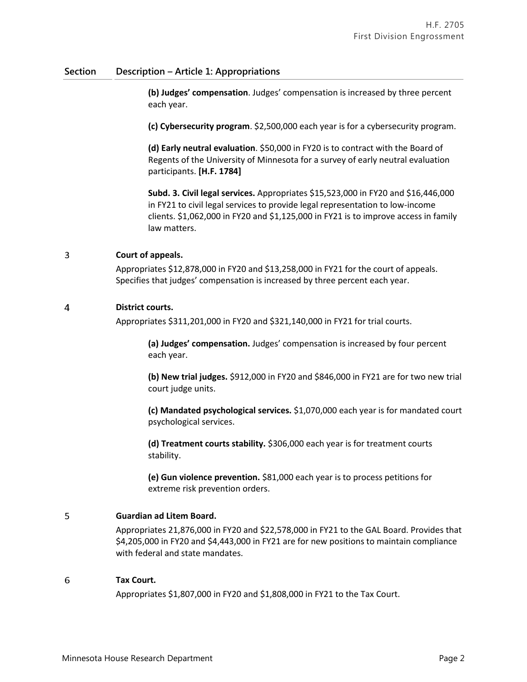### **Section Description – Article 1: Appropriations**

**(b) Judges' compensation**. Judges' compensation is increased by three percent each year.

**(c) Cybersecurity program**. \$2,500,000 each year is for a cybersecurity program.

**(d) Early neutral evaluation**. \$50,000 in FY20 is to contract with the Board of Regents of the University of Minnesota for a survey of early neutral evaluation participants. **[H.F. 1784]**

**Subd. 3. Civil legal services.** Appropriates \$15,523,000 in FY20 and \$16,446,000 in FY21 to civil legal services to provide legal representation to low-income clients. \$1,062,000 in FY20 and \$1,125,000 in FY21 is to improve access in family law matters.

### 3 **Court of appeals.**

Appropriates \$12,878,000 in FY20 and \$13,258,000 in FY21 for the court of appeals. Specifies that judges' compensation is increased by three percent each year.

### $\overline{4}$ **District courts.**

Appropriates \$311,201,000 in FY20 and \$321,140,000 in FY21 for trial courts.

**(a) Judges' compensation.** Judges' compensation is increased by four percent each year.

**(b) New trial judges.** \$912,000 in FY20 and \$846,000 in FY21 are for two new trial court judge units.

**(c) Mandated psychological services.** \$1,070,000 each year is for mandated court psychological services.

**(d) Treatment courts stability.** \$306,000 each year is for treatment courts stability.

**(e) Gun violence prevention.** \$81,000 each year is to process petitions for extreme risk prevention orders.

### 5 **Guardian ad Litem Board.**

Appropriates 21,876,000 in FY20 and \$22,578,000 in FY21 to the GAL Board. Provides that \$4,205,000 in FY20 and \$4,443,000 in FY21 are for new positions to maintain compliance with federal and state mandates.

### 6 **Tax Court.**

Appropriates \$1,807,000 in FY20 and \$1,808,000 in FY21 to the Tax Court.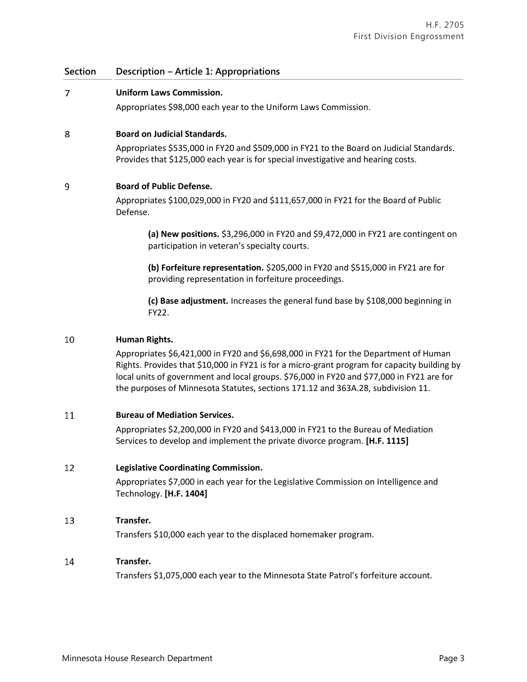### **Section Description – Article 1: Appropriations**

### $\overline{7}$ **Uniform Laws Commission.**

Appropriates \$98,000 each year to the Uniform Laws Commission.

### 8 **Board on Judicial Standards.**

Appropriates \$535,000 in FY20 and \$509,000 in FY21 to the Board on Judicial Standards. Provides that \$125,000 each year is for special investigative and hearing costs.

### $\overline{9}$ **Board of Public Defense.**

Appropriates \$100,029,000 in FY20 and \$111,657,000 in FY21 for the Board of Public Defense.

**(a) New positions.** \$3,296,000 in FY20 and \$9,472,000 in FY21 are contingent on participation in veteran's specialty courts.

**(b) Forfeiture representation.** \$205,000 in FY20 and \$515,000 in FY21 are for providing representation in forfeiture proceedings.

**(c) Base adjustment.** Increases the general fund base by \$108,000 beginning in FY22.

### 10 **Human Rights.**

Appropriates \$6,421,000 in FY20 and \$6,698,000 in FY21 for the Department of Human Rights. Provides that \$10,000 in FY21 is for a micro-grant program for capacity building by local units of government and local groups. \$76,000 in FY20 and \$77,000 in FY21 are for the purposes of Minnesota Statutes, sections 171.12 and 363A.28, subdivision 11.

#### 11 **Bureau of Mediation Services.**

Appropriates \$2,200,000 in FY20 and \$413,000 in FY21 to the Bureau of Mediation Services to develop and implement the private divorce program. **[H.F. 1115]**

#### 12 **Legislative Coordinating Commission.**

Appropriates \$7,000 in each year for the Legislative Commission on Intelligence and Technology. **[H.F. 1404]**

### 13 **Transfer.**

Transfers \$10,000 each year to the displaced homemaker program.

#### 14 **Transfer.**

Transfers \$1,075,000 each year to the Minnesota State Patrol's forfeiture account.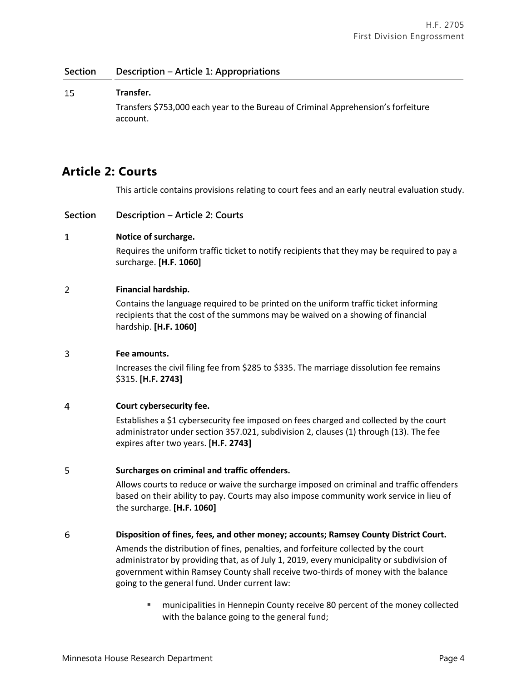### **Section Description – Article 1: Appropriations**

### 15 **Transfer.**

Transfers \$753,000 each year to the Bureau of Criminal Apprehension's forfeiture account.

## **Article 2: Courts**

This article contains provisions relating to court fees and an early neutral evaluation study.

| Description - Article 2: Courts<br>Section |  |
|--------------------------------------------|--|
|--------------------------------------------|--|

### $\mathbf{1}$ **Notice of surcharge.**

Requires the uniform traffic ticket to notify recipients that they may be required to pay a surcharge. **[H.F. 1060]**

### $\overline{2}$ **Financial hardship.**

Contains the language required to be printed on the uniform traffic ticket informing recipients that the cost of the summons may be waived on a showing of financial hardship. **[H.F. 1060]**

#### 3 **Fee amounts.**

Increases the civil filing fee from \$285 to \$335. The marriage dissolution fee remains \$315. **[H.F. 2743]**

### $\overline{4}$ **Court cybersecurity fee.**

Establishes a \$1 cybersecurity fee imposed on fees charged and collected by the court administrator under section 357.021, subdivision 2, clauses (1) through (13). The fee expires after two years. **[H.F. 2743]**

### 5 **Surcharges on criminal and traffic offenders.**

Allows courts to reduce or waive the surcharge imposed on criminal and traffic offenders based on their ability to pay. Courts may also impose community work service in lieu of the surcharge. **[H.F. 1060]**

#### 6 **Disposition of fines, fees, and other money; accounts; Ramsey County District Court.**

Amends the distribution of fines, penalties, and forfeiture collected by the court administrator by providing that, as of July 1, 2019, every municipality or subdivision of government within Ramsey County shall receive two-thirds of money with the balance going to the general fund. Under current law:

 municipalities in Hennepin County receive 80 percent of the money collected with the balance going to the general fund;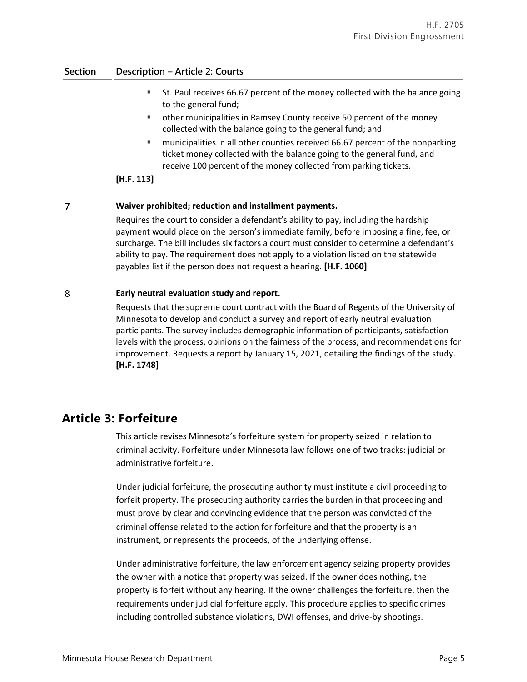### **Section Description – Article 2: Courts**

- St. Paul receives 66.67 percent of the money collected with the balance going to the general fund;
- other municipalities in Ramsey County receive 50 percent of the money collected with the balance going to the general fund; and
- **"** municipalities in all other counties received 66.67 percent of the nonparking ticket money collected with the balance going to the general fund, and receive 100 percent of the money collected from parking tickets.

### **[H.F. 113]**

### $\overline{7}$ **Waiver prohibited; reduction and installment payments.**

Requires the court to consider a defendant's ability to pay, including the hardship payment would place on the person's immediate family, before imposing a fine, fee, or surcharge. The bill includes six factors a court must consider to determine a defendant's ability to pay. The requirement does not apply to a violation listed on the statewide payables list if the person does not request a hearing. **[H.F. 1060]**

### 8 **Early neutral evaluation study and report.**

Requests that the supreme court contract with the Board of Regents of the University of Minnesota to develop and conduct a survey and report of early neutral evaluation participants. The survey includes demographic information of participants, satisfaction levels with the process, opinions on the fairness of the process, and recommendations for improvement. Requests a report by January 15, 2021, detailing the findings of the study. **[H.F. 1748]**

## **Article 3: Forfeiture**

This article revises Minnesota's forfeiture system for property seized in relation to criminal activity. Forfeiture under Minnesota law follows one of two tracks: judicial or administrative forfeiture.

Under judicial forfeiture, the prosecuting authority must institute a civil proceeding to forfeit property. The prosecuting authority carries the burden in that proceeding and must prove by clear and convincing evidence that the person was convicted of the criminal offense related to the action for forfeiture and that the property is an instrument, or represents the proceeds, of the underlying offense.

Under administrative forfeiture, the law enforcement agency seizing property provides the owner with a notice that property was seized. If the owner does nothing, the property is forfeit without any hearing. If the owner challenges the forfeiture, then the requirements under judicial forfeiture apply. This procedure applies to specific crimes including controlled substance violations, DWI offenses, and drive-by shootings.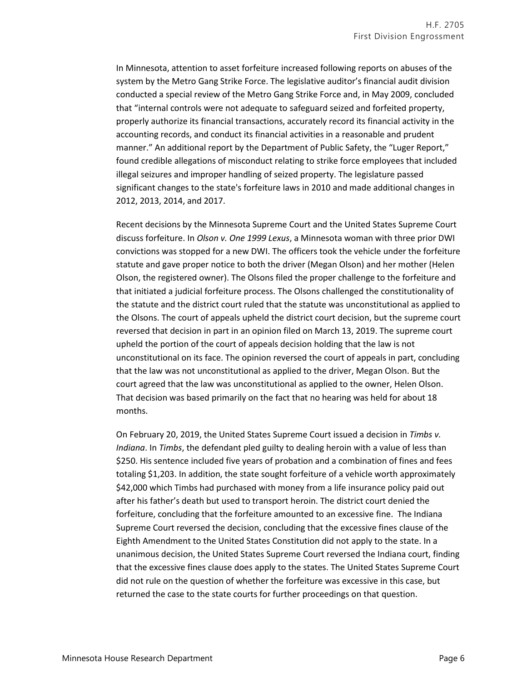In Minnesota, attention to asset forfeiture increased following reports on abuses of the system by the Metro Gang Strike Force. The legislative auditor's financial audit division conducted a special review of the Metro Gang Strike Force and, in May 2009, concluded that "internal controls were not adequate to safeguard seized and forfeited property, properly authorize its financial transactions, accurately record its financial activity in the accounting records, and conduct its financial activities in a reasonable and prudent manner." An additional report by the Department of Public Safety, the "Luger Report," found credible allegations of misconduct relating to strike force employees that included illegal seizures and improper handling of seized property. The legislature passed significant changes to the state's forfeiture laws in 2010 and made additional changes in 2012, 2013, 2014, and 2017.

Recent decisions by the Minnesota Supreme Court and the United States Supreme Court discuss forfeiture. In *Olson v. One 1999 Lexus*, a Minnesota woman with three prior DWI convictions was stopped for a new DWI. The officers took the vehicle under the forfeiture statute and gave proper notice to both the driver (Megan Olson) and her mother (Helen Olson, the registered owner). The Olsons filed the proper challenge to the forfeiture and that initiated a judicial forfeiture process. The Olsons challenged the constitutionality of the statute and the district court ruled that the statute was unconstitutional as applied to the Olsons. The court of appeals upheld the district court decision, but the supreme court reversed that decision in part in an opinion filed on March 13, 2019. The supreme court upheld the portion of the court of appeals decision holding that the law is not unconstitutional on its face. The opinion reversed the court of appeals in part, concluding that the law was not unconstitutional as applied to the driver, Megan Olson. But the court agreed that the law was unconstitutional as applied to the owner, Helen Olson. That decision was based primarily on the fact that no hearing was held for about 18 months.

On February 20, 2019, the United States Supreme Court issued a decision in *Timbs v. Indiana*. In *Timbs*, the defendant pled guilty to dealing heroin with a value of less than \$250. His sentence included five years of probation and a combination of fines and fees totaling \$1,203. In addition, the state sought forfeiture of a vehicle worth approximately \$42,000 which Timbs had purchased with money from a life insurance policy paid out after his father's death but used to transport heroin. The district court denied the forfeiture, concluding that the forfeiture amounted to an excessive fine. The Indiana Supreme Court reversed the decision, concluding that the excessive fines clause of the Eighth Amendment to the United States Constitution did not apply to the state. In a unanimous decision, the United States Supreme Court reversed the Indiana court, finding that the excessive fines clause does apply to the states. The United States Supreme Court did not rule on the question of whether the forfeiture was excessive in this case, but returned the case to the state courts for further proceedings on that question.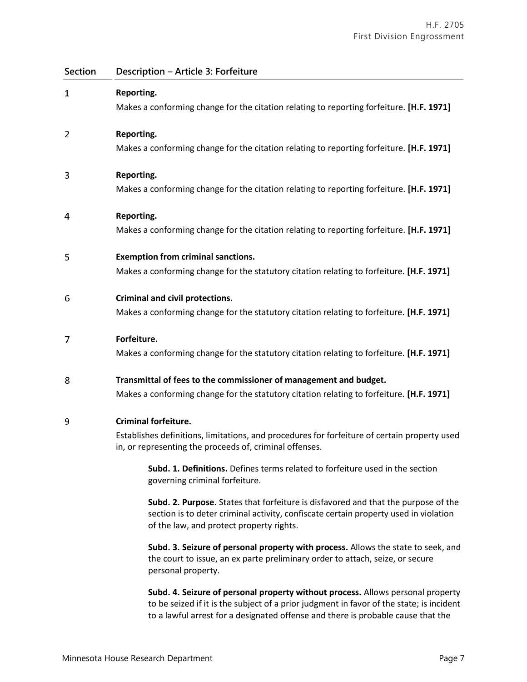| <b>Section</b> | Description - Article 3: Forfeiture                                                                                                                                                                                    |
|----------------|------------------------------------------------------------------------------------------------------------------------------------------------------------------------------------------------------------------------|
| 1              | Reporting.<br>Makes a conforming change for the citation relating to reporting forfeiture. [H.F. 1971]                                                                                                                 |
| 2              | Reporting.<br>Makes a conforming change for the citation relating to reporting forfeiture. [H.F. 1971]                                                                                                                 |
| 3              | Reporting.<br>Makes a conforming change for the citation relating to reporting forfeiture. [H.F. 1971]                                                                                                                 |
| 4              | Reporting.<br>Makes a conforming change for the citation relating to reporting forfeiture. [H.F. 1971]                                                                                                                 |
| 5              | <b>Exemption from criminal sanctions.</b><br>Makes a conforming change for the statutory citation relating to forfeiture. [H.F. 1971]                                                                                  |
| 6              | Criminal and civil protections.<br>Makes a conforming change for the statutory citation relating to forfeiture. [H.F. 1971]                                                                                            |
| 7              | Forfeiture.<br>Makes a conforming change for the statutory citation relating to forfeiture. [H.F. 1971]                                                                                                                |
| 8              | Transmittal of fees to the commissioner of management and budget.<br>Makes a conforming change for the statutory citation relating to forfeiture. [H.F. 1971]                                                          |
| 9              | <b>Criminal forfeiture.</b><br>Establishes definitions, limitations, and procedures for forfeiture of certain property used<br>in, or representing the proceeds of, criminal offenses.                                 |
|                | Subd. 1. Definitions. Defines terms related to forfeiture used in the section<br>governing criminal forfeiture.                                                                                                        |
|                | Subd. 2. Purpose. States that forfeiture is disfavored and that the purpose of the<br>section is to deter criminal activity, confiscate certain property used in violation<br>of the law, and protect property rights. |
|                | Subd. 3. Seizure of personal property with process. Allows the state to seek, and<br>the court to issue, an ex parte preliminary order to attach, seize, or secure<br>personal property.                               |

**Subd. 4. Seizure of personal property without process.** Allows personal property to be seized if it is the subject of a prior judgment in favor of the state; is incident to a lawful arrest for a designated offense and there is probable cause that the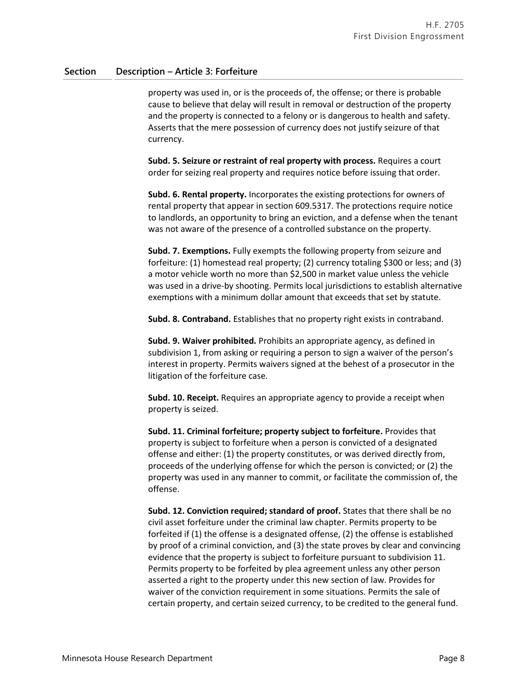property was used in, or is the proceeds of, the offense; or there is probable cause to believe that delay will result in removal or destruction of the property and the property is connected to a felony or is dangerous to health and safety. Asserts that the mere possession of currency does not justify seizure of that currency.

**Subd. 5. Seizure or restraint of real property with process.** Requires a court order for seizing real property and requires notice before issuing that order.

**Subd. 6. Rental property.** Incorporates the existing protections for owners of rental property that appear in section 609.5317. The protections require notice to landlords, an opportunity to bring an eviction, and a defense when the tenant was not aware of the presence of a controlled substance on the property.

**Subd. 7. Exemptions.** Fully exempts the following property from seizure and forfeiture: (1) homestead real property; (2) currency totaling \$300 or less; and (3) a motor vehicle worth no more than \$2,500 in market value unless the vehicle was used in a drive-by shooting. Permits local jurisdictions to establish alternative exemptions with a minimum dollar amount that exceeds that set by statute.

**Subd. 8. Contraband.** Establishes that no property right exists in contraband.

**Subd. 9. Waiver prohibited.** Prohibits an appropriate agency, as defined in subdivision 1, from asking or requiring a person to sign a waiver of the person's interest in property. Permits waivers signed at the behest of a prosecutor in the litigation of the forfeiture case.

**Subd. 10. Receipt.** Requires an appropriate agency to provide a receipt when property is seized.

**Subd. 11. Criminal forfeiture; property subject to forfeiture.** Provides that property is subject to forfeiture when a person is convicted of a designated offense and either: (1) the property constitutes, or was derived directly from, proceeds of the underlying offense for which the person is convicted; or (2) the property was used in any manner to commit, or facilitate the commission of, the offense.

**Subd. 12. Conviction required; standard of proof.** States that there shall be no civil asset forfeiture under the criminal law chapter. Permits property to be forfeited if (1) the offense is a designated offense, (2) the offense is established by proof of a criminal conviction, and (3) the state proves by clear and convincing evidence that the property is subject to forfeiture pursuant to subdivision 11. Permits property to be forfeited by plea agreement unless any other person asserted a right to the property under this new section of law. Provides for waiver of the conviction requirement in some situations. Permits the sale of certain property, and certain seized currency, to be credited to the general fund.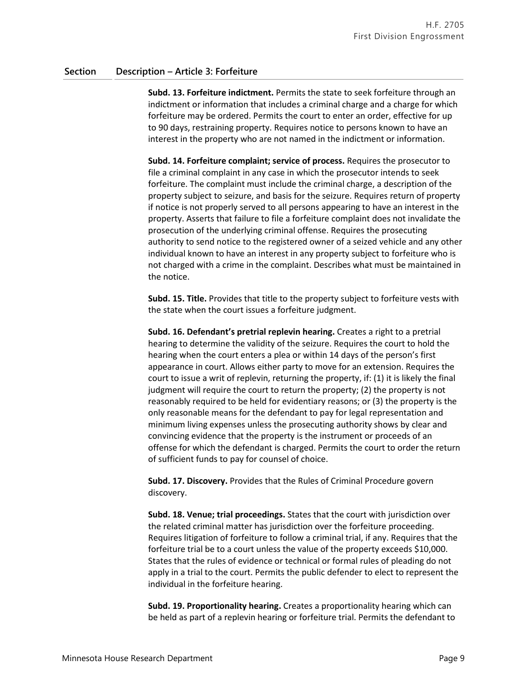**Subd. 13. Forfeiture indictment.** Permits the state to seek forfeiture through an indictment or information that includes a criminal charge and a charge for which forfeiture may be ordered. Permits the court to enter an order, effective for up to 90 days, restraining property. Requires notice to persons known to have an interest in the property who are not named in the indictment or information.

**Subd. 14. Forfeiture complaint; service of process.** Requires the prosecutor to file a criminal complaint in any case in which the prosecutor intends to seek forfeiture. The complaint must include the criminal charge, a description of the property subject to seizure, and basis for the seizure. Requires return of property if notice is not properly served to all persons appearing to have an interest in the property. Asserts that failure to file a forfeiture complaint does not invalidate the prosecution of the underlying criminal offense. Requires the prosecuting authority to send notice to the registered owner of a seized vehicle and any other individual known to have an interest in any property subject to forfeiture who is not charged with a crime in the complaint. Describes what must be maintained in the notice.

**Subd. 15. Title.** Provides that title to the property subject to forfeiture vests with the state when the court issues a forfeiture judgment.

**Subd. 16. Defendant's pretrial replevin hearing.** Creates a right to a pretrial hearing to determine the validity of the seizure. Requires the court to hold the hearing when the court enters a plea or within 14 days of the person's first appearance in court. Allows either party to move for an extension. Requires the court to issue a writ of replevin, returning the property, if: (1) it is likely the final judgment will require the court to return the property; (2) the property is not reasonably required to be held for evidentiary reasons; or (3) the property is the only reasonable means for the defendant to pay for legal representation and minimum living expenses unless the prosecuting authority shows by clear and convincing evidence that the property is the instrument or proceeds of an offense for which the defendant is charged. Permits the court to order the return of sufficient funds to pay for counsel of choice.

**Subd. 17. Discovery.** Provides that the Rules of Criminal Procedure govern discovery.

**Subd. 18. Venue; trial proceedings.** States that the court with jurisdiction over the related criminal matter has jurisdiction over the forfeiture proceeding. Requires litigation of forfeiture to follow a criminal trial, if any. Requires that the forfeiture trial be to a court unless the value of the property exceeds \$10,000. States that the rules of evidence or technical or formal rules of pleading do not apply in a trial to the court. Permits the public defender to elect to represent the individual in the forfeiture hearing.

**Subd. 19. Proportionality hearing.** Creates a proportionality hearing which can be held as part of a replevin hearing or forfeiture trial. Permits the defendant to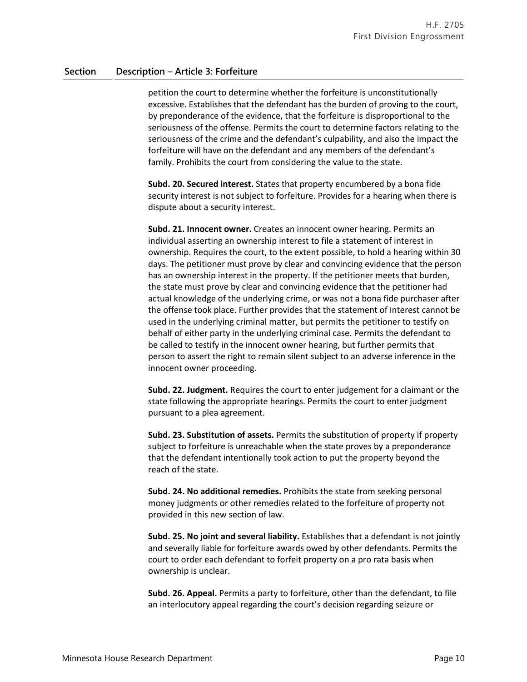petition the court to determine whether the forfeiture is unconstitutionally excessive. Establishes that the defendant has the burden of proving to the court, by preponderance of the evidence, that the forfeiture is disproportional to the seriousness of the offense. Permits the court to determine factors relating to the seriousness of the crime and the defendant's culpability, and also the impact the forfeiture will have on the defendant and any members of the defendant's family. Prohibits the court from considering the value to the state.

**Subd. 20. Secured interest.** States that property encumbered by a bona fide security interest is not subject to forfeiture. Provides for a hearing when there is dispute about a security interest.

**Subd. 21. Innocent owner.** Creates an innocent owner hearing. Permits an individual asserting an ownership interest to file a statement of interest in ownership. Requires the court, to the extent possible, to hold a hearing within 30 days. The petitioner must prove by clear and convincing evidence that the person has an ownership interest in the property. If the petitioner meets that burden, the state must prove by clear and convincing evidence that the petitioner had actual knowledge of the underlying crime, or was not a bona fide purchaser after the offense took place. Further provides that the statement of interest cannot be used in the underlying criminal matter, but permits the petitioner to testify on behalf of either party in the underlying criminal case. Permits the defendant to be called to testify in the innocent owner hearing, but further permits that person to assert the right to remain silent subject to an adverse inference in the innocent owner proceeding.

**Subd. 22. Judgment.** Requires the court to enter judgement for a claimant or the state following the appropriate hearings. Permits the court to enter judgment pursuant to a plea agreement.

**Subd. 23. Substitution of assets.** Permits the substitution of property if property subject to forfeiture is unreachable when the state proves by a preponderance that the defendant intentionally took action to put the property beyond the reach of the state.

**Subd. 24. No additional remedies.** Prohibits the state from seeking personal money judgments or other remedies related to the forfeiture of property not provided in this new section of law.

**Subd. 25. No joint and several liability.** Establishes that a defendant is not jointly and severally liable for forfeiture awards owed by other defendants. Permits the court to order each defendant to forfeit property on a pro rata basis when ownership is unclear.

**Subd. 26. Appeal.** Permits a party to forfeiture, other than the defendant, to file an interlocutory appeal regarding the court's decision regarding seizure or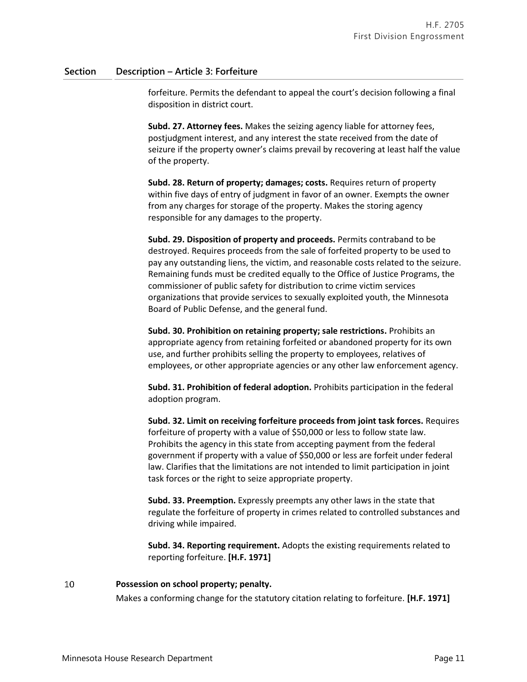forfeiture. Permits the defendant to appeal the court's decision following a final disposition in district court.

**Subd. 27. Attorney fees.** Makes the seizing agency liable for attorney fees, postjudgment interest, and any interest the state received from the date of seizure if the property owner's claims prevail by recovering at least half the value of the property.

**Subd. 28. Return of property; damages; costs.** Requires return of property within five days of entry of judgment in favor of an owner. Exempts the owner from any charges for storage of the property. Makes the storing agency responsible for any damages to the property.

**Subd. 29. Disposition of property and proceeds.** Permits contraband to be destroyed. Requires proceeds from the sale of forfeited property to be used to pay any outstanding liens, the victim, and reasonable costs related to the seizure. Remaining funds must be credited equally to the Office of Justice Programs, the commissioner of public safety for distribution to crime victim services organizations that provide services to sexually exploited youth, the Minnesota Board of Public Defense, and the general fund.

**Subd. 30. Prohibition on retaining property; sale restrictions.** Prohibits an appropriate agency from retaining forfeited or abandoned property for its own use, and further prohibits selling the property to employees, relatives of employees, or other appropriate agencies or any other law enforcement agency.

**Subd. 31. Prohibition of federal adoption.** Prohibits participation in the federal adoption program.

**Subd. 32. Limit on receiving forfeiture proceeds from joint task forces.** Requires forfeiture of property with a value of \$50,000 or less to follow state law. Prohibits the agency in this state from accepting payment from the federal government if property with a value of \$50,000 or less are forfeit under federal law. Clarifies that the limitations are not intended to limit participation in joint task forces or the right to seize appropriate property.

**Subd. 33. Preemption.** Expressly preempts any other laws in the state that regulate the forfeiture of property in crimes related to controlled substances and driving while impaired.

**Subd. 34. Reporting requirement.** Adopts the existing requirements related to reporting forfeiture. **[H.F. 1971]**

#### 10 **Possession on school property; penalty.**

Makes a conforming change for the statutory citation relating to forfeiture. **[H.F. 1971]**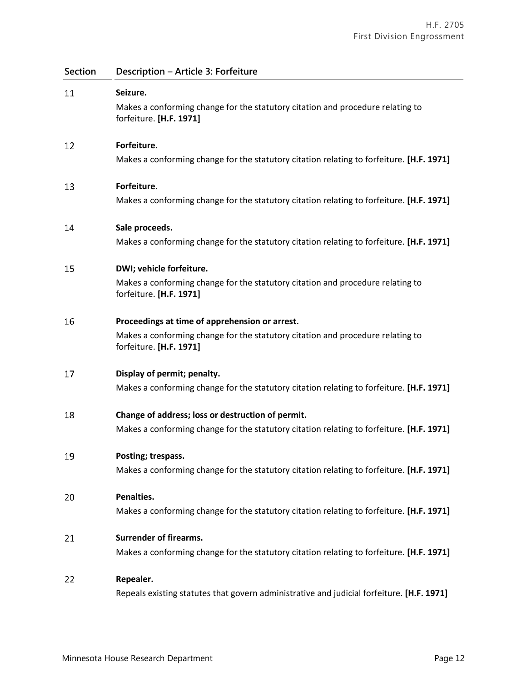**Section Description – Article 3: Forfeiture** 11 **Seizure.** Makes a conforming change for the statutory citation and procedure relating to forfeiture. **[H.F. 1971]** 12 **Forfeiture.** Makes a conforming change for the statutory citation relating to forfeiture. **[H.F. 1971]** 13 **Forfeiture.** Makes a conforming change for the statutory citation relating to forfeiture. **[H.F. 1971]** 14 **Sale proceeds.** Makes a conforming change for the statutory citation relating to forfeiture. **[H.F. 1971]** 15 **DWI; vehicle forfeiture.** Makes a conforming change for the statutory citation and procedure relating to forfeiture. **[H.F. 1971]** 16 **Proceedings at time of apprehension or arrest.** Makes a conforming change for the statutory citation and procedure relating to forfeiture. **[H.F. 1971]** 17 **Display of permit; penalty.** Makes a conforming change for the statutory citation relating to forfeiture. **[H.F. 1971] Change of address; loss or destruction of permit.** 18 Makes a conforming change for the statutory citation relating to forfeiture. **[H.F. 1971]** 19 **Posting; trespass.** Makes a conforming change for the statutory citation relating to forfeiture. **[H.F. 1971]** 20 **Penalties.** Makes a conforming change for the statutory citation relating to forfeiture. **[H.F. 1971]** 21 **Surrender of firearms.** Makes a conforming change for the statutory citation relating to forfeiture. **[H.F. 1971]** 22 **Repealer.**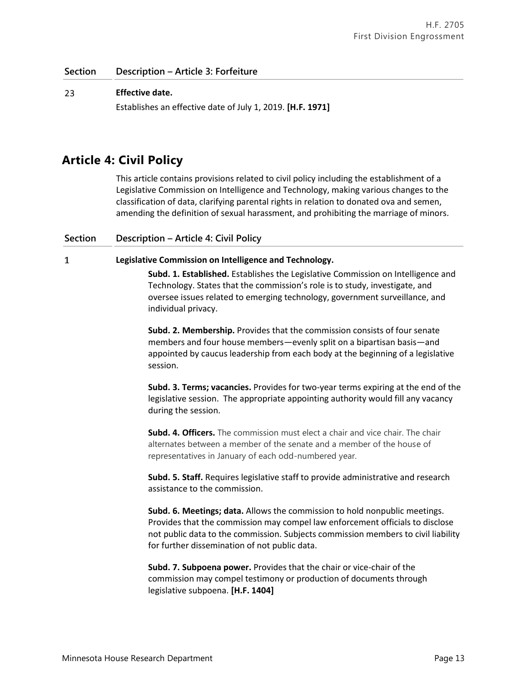### 23 **Effective date.**

Establishes an effective date of July 1, 2019. **[H.F. 1971]**

## **Article 4: Civil Policy**

This article contains provisions related to civil policy including the establishment of a Legislative Commission on Intelligence and Technology, making various changes to the classification of data, clarifying parental rights in relation to donated ova and semen, amending the definition of sexual harassment, and prohibiting the marriage of minors.

### **Section Description – Article 4: Civil Policy**

 $\mathbf{1}$ 

### **Legislative Commission on Intelligence and Technology.**

**Subd. 1. Established.** Establishes the Legislative Commission on Intelligence and Technology. States that the commission's role is to study, investigate, and oversee issues related to emerging technology, government surveillance, and individual privacy.

**Subd. 2. Membership.** Provides that the commission consists of four senate members and four house members—evenly split on a bipartisan basis—and appointed by caucus leadership from each body at the beginning of a legislative session.

**Subd. 3. Terms; vacancies.** Provides for two-year terms expiring at the end of the legislative session. The appropriate appointing authority would fill any vacancy during the session.

**Subd. 4. Officers.** The commission must elect a chair and vice chair. The chair alternates between a member of the senate and a member of the house of representatives in January of each odd-numbered year.

**Subd. 5. Staff.** Requires legislative staff to provide administrative and research assistance to the commission.

**Subd. 6. Meetings; data.** Allows the commission to hold nonpublic meetings. Provides that the commission may compel law enforcement officials to disclose not public data to the commission. Subjects commission members to civil liability for further dissemination of not public data.

**Subd. 7. Subpoena power.** Provides that the chair or vice-chair of the commission may compel testimony or production of documents through legislative subpoena. **[H.F. 1404]**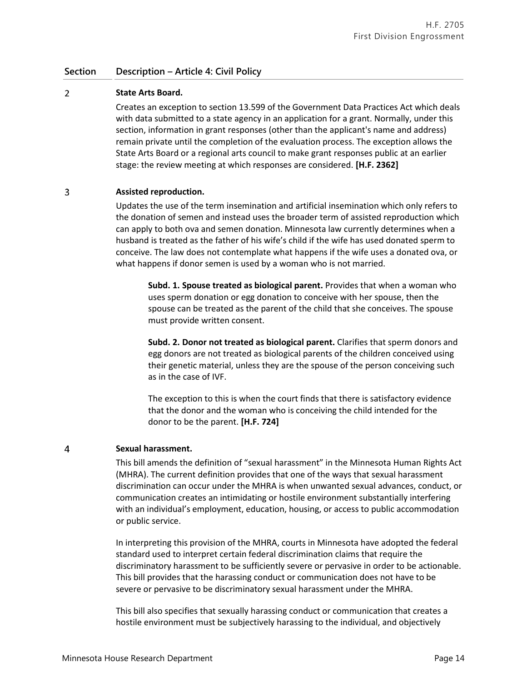### **Section Description – Article 4: Civil Policy**

### $\overline{2}$ **State Arts Board.**

Creates an exception to section 13.599 of the Government Data Practices Act which deals with data submitted to a state agency in an application for a grant. Normally, under this section, information in grant responses (other than the applicant's name and address) remain private until the completion of the evaluation process. The exception allows the State Arts Board or a regional arts council to make grant responses public at an earlier stage: the review meeting at which responses are considered. **[H.F. 2362]**

### 3 **Assisted reproduction.**

Updates the use of the term insemination and artificial insemination which only refers to the donation of semen and instead uses the broader term of assisted reproduction which can apply to both ova and semen donation. Minnesota law currently determines when a husband is treated as the father of his wife's child if the wife has used donated sperm to conceive. The law does not contemplate what happens if the wife uses a donated ova, or what happens if donor semen is used by a woman who is not married.

**Subd. 1. Spouse treated as biological parent.** Provides that when a woman who uses sperm donation or egg donation to conceive with her spouse, then the spouse can be treated as the parent of the child that she conceives. The spouse must provide written consent.

**Subd. 2. Donor not treated as biological parent.** Clarifies that sperm donors and egg donors are not treated as biological parents of the children conceived using their genetic material, unless they are the spouse of the person conceiving such as in the case of IVF.

The exception to this is when the court finds that there is satisfactory evidence that the donor and the woman who is conceiving the child intended for the donor to be the parent. **[H.F. 724]**

#### $\overline{4}$ **Sexual harassment.**

This bill amends the definition of "sexual harassment" in the Minnesota Human Rights Act (MHRA). The current definition provides that one of the ways that sexual harassment discrimination can occur under the MHRA is when unwanted sexual advances, conduct, or communication creates an intimidating or hostile environment substantially interfering with an individual's employment, education, housing, or access to public accommodation or public service.

In interpreting this provision of the MHRA, courts in Minnesota have adopted the federal standard used to interpret certain federal discrimination claims that require the discriminatory harassment to be sufficiently severe or pervasive in order to be actionable. This bill provides that the harassing conduct or communication does not have to be severe or pervasive to be discriminatory sexual harassment under the MHRA.

This bill also specifies that sexually harassing conduct or communication that creates a hostile environment must be subjectively harassing to the individual, and objectively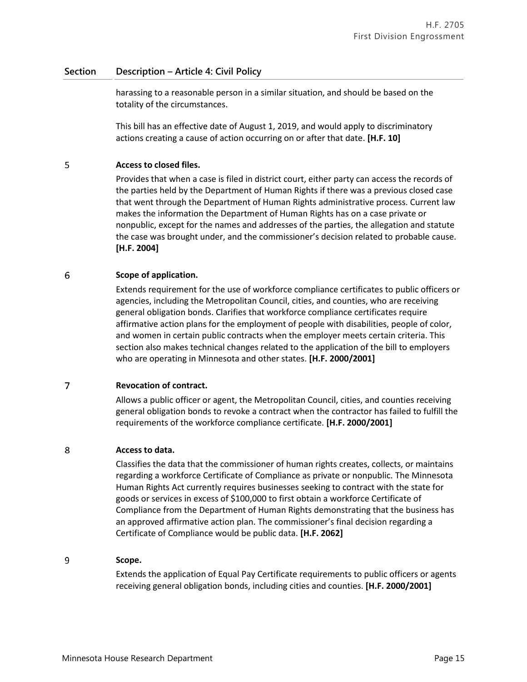### **Section Description – Article 4: Civil Policy**

harassing to a reasonable person in a similar situation, and should be based on the totality of the circumstances.

This bill has an effective date of August 1, 2019, and would apply to discriminatory actions creating a cause of action occurring on or after that date. **[H.F. 10]**

### 5 **Access to closed files.**

Provides that when a case is filed in district court, either party can access the records of the parties held by the Department of Human Rights if there was a previous closed case that went through the Department of Human Rights administrative process. Current law makes the information the Department of Human Rights has on a case private or nonpublic, except for the names and addresses of the parties, the allegation and statute the case was brought under, and the commissioner's decision related to probable cause. **[H.F. 2004]**

### 6 **Scope of application.**

Extends requirement for the use of workforce compliance certificates to public officers or agencies, including the Metropolitan Council, cities, and counties, who are receiving general obligation bonds. Clarifies that workforce compliance certificates require affirmative action plans for the employment of people with disabilities, people of color, and women in certain public contracts when the employer meets certain criteria. This section also makes technical changes related to the application of the bill to employers who are operating in Minnesota and other states. **[H.F. 2000/2001]**

### $\overline{7}$ **Revocation of contract.**

Allows a public officer or agent, the Metropolitan Council, cities, and counties receiving general obligation bonds to revoke a contract when the contractor has failed to fulfill the requirements of the workforce compliance certificate. **[H.F. 2000/2001]**

#### 8 **Access to data.**

Classifies the data that the commissioner of human rights creates, collects, or maintains regarding a workforce Certificate of Compliance as private or nonpublic. The Minnesota Human Rights Act currently requires businesses seeking to contract with the state for goods or services in excess of \$100,000 to first obtain a workforce Certificate of Compliance from the Department of Human Rights demonstrating that the business has an approved affirmative action plan. The commissioner's final decision regarding a Certificate of Compliance would be public data. **[H.F. 2062]**

### 9 **Scope.**

Extends the application of Equal Pay Certificate requirements to public officers or agents receiving general obligation bonds, including cities and counties. **[H.F. 2000/2001]**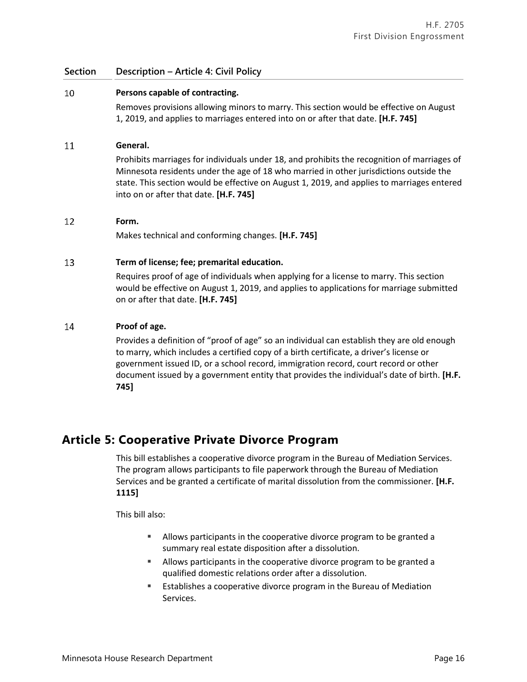### **Section Description – Article 4: Civil Policy**

### 10 **Persons capable of contracting.**

Removes provisions allowing minors to marry. This section would be effective on August 1, 2019, and applies to marriages entered into on or after that date. **[H.F. 745]**

### 11 **General.**

Prohibits marriages for individuals under 18, and prohibits the recognition of marriages of Minnesota residents under the age of 18 who married in other jurisdictions outside the state. This section would be effective on August 1, 2019, and applies to marriages entered into on or after that date. **[H.F. 745]**

### 12 **Form.**

Makes technical and conforming changes. **[H.F. 745]**

### 13 **Term of license; fee; premarital education.**

Requires proof of age of individuals when applying for a license to marry. This section would be effective on August 1, 2019, and applies to applications for marriage submitted on or after that date. **[H.F. 745]**

### 14 **Proof of age.**

Provides a definition of "proof of age" so an individual can establish they are old enough to marry, which includes a certified copy of a birth certificate, a driver's license or government issued ID, or a school record, immigration record, court record or other document issued by a government entity that provides the individual's date of birth. **[H.F. 745]**

## **Article 5: Cooperative Private Divorce Program**

This bill establishes a cooperative divorce program in the Bureau of Mediation Services. The program allows participants to file paperwork through the Bureau of Mediation Services and be granted a certificate of marital dissolution from the commissioner. **[H.F. 1115]**

This bill also:

- Allows participants in the cooperative divorce program to be granted a summary real estate disposition after a dissolution.
- Allows participants in the cooperative divorce program to be granted a qualified domestic relations order after a dissolution.
- **E** Establishes a cooperative divorce program in the Bureau of Mediation Services.